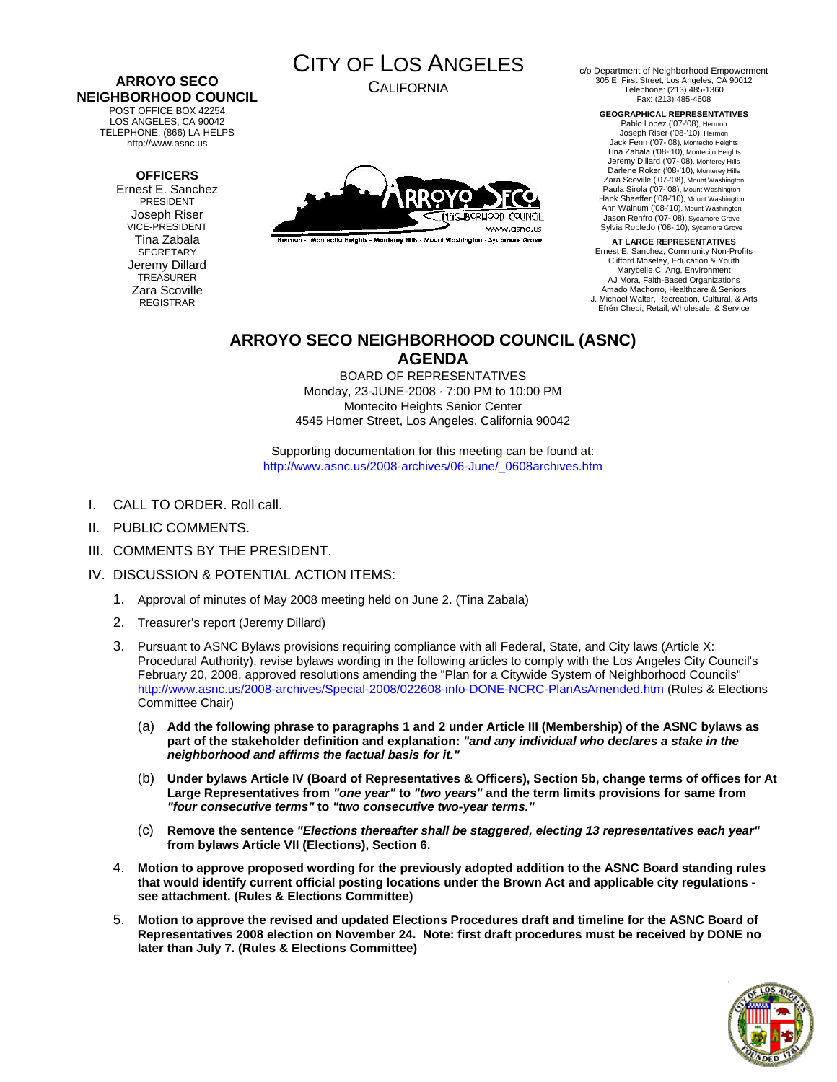#### **ARROYO SECO NEIGHBORHOOD COUNCIL**  POST OFFICE BOX 42254

LOS ANGELES, CA 90042 TELEPHONE: (866) LA-HELPS http://www.asnc.us

### **OFFICERS**

Ernest E. Sanchez PRESIDENT Joseph Riser VICE-PRESIDENT Tina Zabala **SECRETARY** Jeremy Dillard TREASURER Zara Scoville REGISTRAR



CALIFORNIA



Hermon - Montecito Heights - Monterey Hills - Mount Washington - Sycamore Grove

c/o Department of Neighborhood Empowerment 305 E. First Street, Los Angeles, CA 90012 Telephone: (213) 485-1360 Fax: (213) 485-4608

> **GEOGRAPHICAL REPRESENTATIVES**  Pablo Lopez ('07-'08), Hermon Joseph Riser ('08-'10), Hermon Jack Fenn ('07-'08), Montecito Heights Tina Zabala ('08-'10), Montecito Heights Jeremy Dillard ('07-'08), Monterey Hills Darlene Roker ('08-'10), Monterey Hills Zara Scoville ('07-'08), Mount Washington Paula Sirola ('07-'08), Mount Washington Hank Shaeffer ('08-'10), Mount Washington Ann Walnum ('08-'10), Mount Washington Jason Renfro ('07-'08), Sycamore Grove Sylvia Robledo ('08-'10), Sycamore Grove

**AT LARGE REPRESENTATIVES**  Ernest E. Sanchez, Community Non-Profits Clifford Moseley, Education & Youth Marybelle C. Ang, Environment AJ Mora, Faith-Based Organizations Amado Machorro, Healthcare & Seniors J. Michael Walter, Recreation, Cultural, & Arts Efrén Chepi, Retail, Wholesale, & Service

## **ARROYO SECO NEIGHBORHOOD COUNCIL (ASNC) AGENDA**

BOARD OF REPRESENTATIVES Monday, 23-JUNE-2008 · 7:00 PM to 10:00 PM Montecito Heights Senior Center 4545 Homer Street, Los Angeles, California 90042

Supporting documentation for this meeting can be found at: [http://www.asnc.us/2008-archives/06-June/\\_0608archives.htm](http://www.asnc.us/2008-archives/06-June/_0608archives.htm)

- I. CALL TO ORDER. Roll call.
- II. PUBLIC COMMENTS.
- III. COMMENTS BY THE PRESIDENT.
- IV. DISCUSSION & POTENTIAL ACTION ITEMS:
	- 1. Approval of minutes of May 2008 meeting held on June 2. (Tina Zabala)
	- 2. Treasurer's report (Jeremy Dillard)
	- 3. Pursuant to ASNC Bylaws provisions requiring compliance with all Federal, State, and City laws (Article X: Procedural Authority), revise bylaws wording in the following articles to comply with the Los Angeles City Council's February 20, 2008, approved resolutions amending the "Plan for a Citywide System of Neighborhood Councils" <http://www.asnc.us/2008-archives/Special-2008/022608-info-DONE-NCRC-PlanAsAmended.htm>(Rules & Elections Committee Chair)
		- (a) **Add the following phrase to paragraphs 1 and 2 under Article III (Membership) of the ASNC bylaws as part of the stakeholder definition and explanation:** *"and any individual who declares a stake in the neighborhood and affirms the factual basis for it."*
		- (b) **Under bylaws Article IV (Board of Representatives & Officers), Section 5b, change terms of offices for At Large Representatives from** *"one year"* **to** *"two years"* **and the term limits provisions for same from**  *"four consecutive terms"* **to** *"two consecutive two-year terms."*
		- (c) **Remove the sentence** *"Elections thereafter shall be staggered, electing 13 representatives each year"* **from bylaws Article VII (Elections), Section 6.**
	- 4. **Motion to approve proposed wording for the previously adopted addition to the ASNC Board standing rules that would identify current official posting locations under the Brown Act and applicable city regulations see attachment. (Rules & Elections Committee)**
	- 5. **Motion to approve the revised and updated Elections Procedures draft and timeline for the ASNC Board of Representatives 2008 election on November 24. Note: first draft procedures must be received by DONE no later than July 7. (Rules & Elections Committee)**

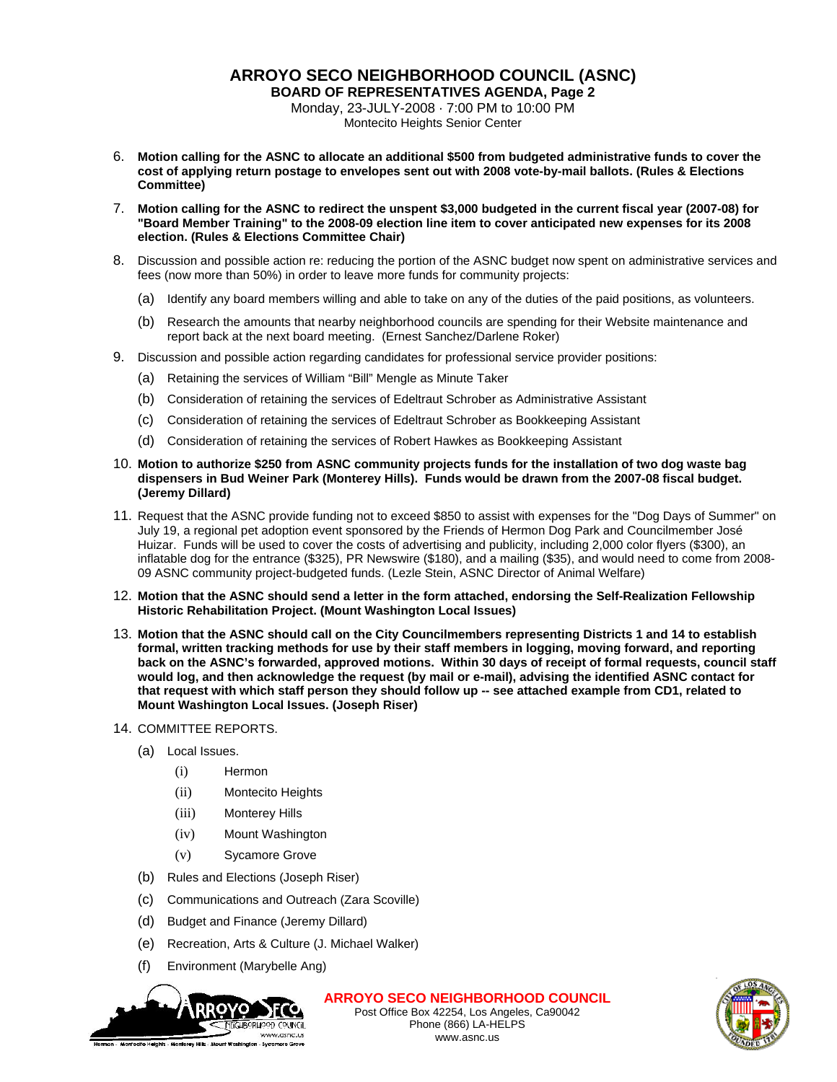# **ARROYO SECO NEIGHBORHOOD COUNCIL (ASNC)**

**BOARD OF REPRESENTATIVES AGENDA, Page 2** Monday, 23-JULY-2008 · 7:00 PM to 10:00 PM

Montecito Heights Senior Center

- 6. **Motion calling for the ASNC to allocate an additional \$500 from budgeted administrative funds to cover the cost of applying return postage to envelopes sent out with 2008 vote-by-mail ballots. (Rules & Elections Committee)**
- 7. **Motion calling for the ASNC to redirect the unspent \$3,000 budgeted in the current fiscal year (2007-08) for "Board Member Training" to the 2008-09 election line item to cover anticipated new expenses for its 2008 election. (Rules & Elections Committee Chair)**
- 8. Discussion and possible action re: reducing the portion of the ASNC budget now spent on administrative services and fees (now more than 50%) in order to leave more funds for community projects:
	- (a) Identify any board members willing and able to take on any of the duties of the paid positions, as volunteers.
	- (b) Research the amounts that nearby neighborhood councils are spending for their Website maintenance and report back at the next board meeting. (Ernest Sanchez/Darlene Roker)
- 9. Discussion and possible action regarding candidates for professional service provider positions:
	- (a) Retaining the services of William "Bill" Mengle as Minute Taker
	- (b) Consideration of retaining the services of Edeltraut Schrober as Administrative Assistant
	- (c) Consideration of retaining the services of Edeltraut Schrober as Bookkeeping Assistant
	- (d) Consideration of retaining the services of Robert Hawkes as Bookkeeping Assistant
- 10. **Motion to authorize \$250 from ASNC community projects funds for the installation of two dog waste bag dispensers in Bud Weiner Park (Monterey Hills). Funds would be drawn from the 2007-08 fiscal budget. (Jeremy Dillard)**
- 11. Request that the ASNC provide funding not to exceed \$850 to assist with expenses for the "Dog Days of Summer" on July 19, a regional pet adoption event sponsored by the Friends of Hermon Dog Park and Councilmember José Huizar. Funds will be used to cover the costs of advertising and publicity, including 2,000 color flyers (\$300), an inflatable dog for the entrance (\$325), PR Newswire (\$180), and a mailing (\$35), and would need to come from 2008- 09 ASNC community project-budgeted funds. (Lezle Stein, ASNC Director of Animal Welfare)
- 12. **Motion that the ASNC should send a letter in the form attached, endorsing the Self-Realization Fellowship Historic Rehabilitation Project. (Mount Washington Local Issues)**
- 13. **Motion that the ASNC should call on the City Councilmembers representing Districts 1 and 14 to establish formal, written tracking methods for use by their staff members in logging, moving forward, and reporting back on the ASNC's forwarded, approved motions. Within 30 days of receipt of formal requests, council staff would log, and then acknowledge the request (by mail or e-mail), advising the identified ASNC contact for that request with which staff person they should follow up -- see attached example from CD1, related to Mount Washington Local Issues. (Joseph Riser)**

#### 14. COMMITTEE REPORTS.

- (a) Local Issues.
	- (i) Hermon
	- (ii) Montecito Heights
	- (iii) Monterey Hills
	- (iv) Mount Washington
	- (v) Sycamore Grove
- (b) Rules and Elections (Joseph Riser)
- (c) Communications and Outreach (Zara Scoville)
- (d) Budget and Finance (Jeremy Dillard)
- (e) Recreation, Arts & Culture (J. Michael Walker)
- (f) Environment (Marybelle Ang)



**ARROYO SECO NEIGHBORHOOD COUNCIL**